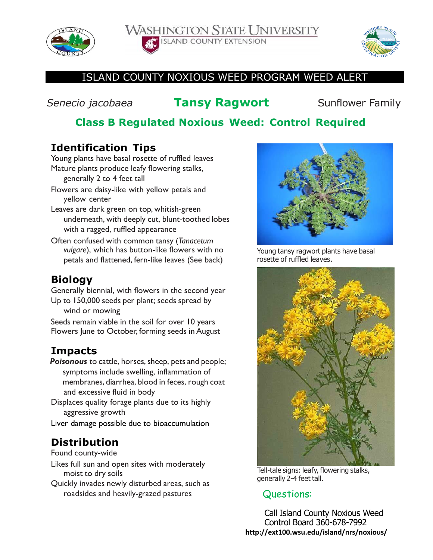

**WASHINGTON STATE UNIVERSITY ISLAND COUNTY EXTENSION** 



#### ISLAND COUNTY NOXIOUS WEED PROGRAM WEED ALERT

**Senecio jacobaea Tansy Ragwort** Sunflower Family

## **Class B Regulated Noxious Weed: Control Required**

### **Identification Tips**

Young plants have basal rosette of ruffled leaves Mature plants produce leafy flowering stalks, generally 2 to 4 feet tall

- Flowers are daisy-like with yellow petals and yellow center
- Leaves are dark green on top, whitish-green underneath, with deeply cut, blunt-toothed lobes with a ragged, ruffled appearance
- Often confused with common tansy (*Tanacetum vulgare*), which has button-like flowers with no petals and flattened, fern-like leaves (See back)

#### **Biology**

Generally biennial, with flowers in the second year Up to 150,000 seeds per plant; seeds spread by wind or mowing

Seeds remain viable in the soil for over 10 years Flowers June to October, forming seeds in August

### **Impacts**

**Poisonous** to cattle, horses, sheep, pets and people; symptoms include swelling, inflammation of membranes, diarrhea, blood in feces, rough coat and excessive fluid in body

Displaces quality forage plants due to its highly aggressive growth

Liver damage possible due to bioaccumulation

# **Distribution**

Found county-wide

- Likes full sun and open sites with moderately moist to dry soils
- Quickly invades newly disturbed areas, such as roadsides and heavily-grazed pastures



Young tansy ragwort plants have basal rosette of ruffled leaves.



Tell-tale signs: leafy, flowering stalks, generally 2-4 feet tall.

### Questions:

Call Island County Noxious Weed Control Board 360-678-7992 **http://ext100.wsu.edu/island/nrs/noxious/**